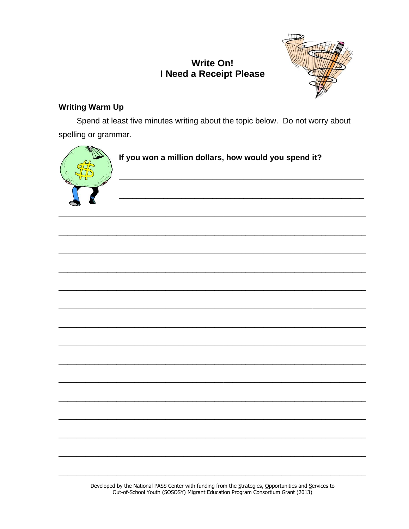# **Write On!** I Need a Receipt Please



## **Writing Warm Up**

Spend at least five minutes writing about the topic below. Do not worry about spelling or grammar.



# If you won a million dollars, how would you spend it?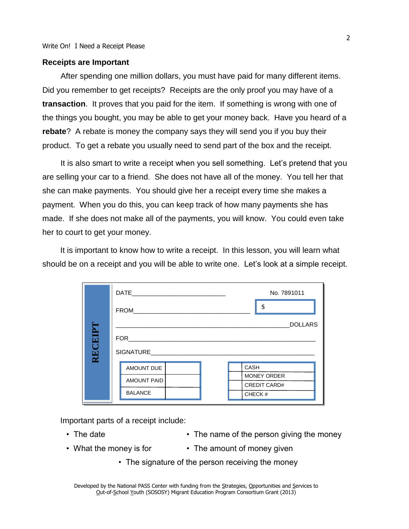#### **Receipts are Important**

After spending one million dollars, you must have paid for many different items. Did you remember to get receipts? Receipts are the only proof you may have of a **transaction**. It proves that you paid for the item. If something is wrong with one of the things you bought, you may be able to get your money back. Have you heard of a **rebate**? A rebate is money the company says they will send you if you buy their product. To get a rebate you usually need to send part of the box and the receipt.

It is also smart to write a receipt when you sell something. Let's pretend that you are selling your car to a friend. She does not have all of the money. You tell her that she can make payments. You should give her a receipt every time she makes a payment. When you do this, you can keep track of how many payments she has made. If she does not make all of the payments, you will know. You could even take her to court to get your money.

It is important to know how to write a receipt. In this lesson, you will learn what should be on a receipt and you will be able to write one. Let's look at a simple receipt.

|                                                    | DATE <b>DATE</b> | No. 7891011 |  |                    |                     |
|----------------------------------------------------|------------------|-------------|--|--------------------|---------------------|
|                                                    | <b>FROM</b>      | \$          |  |                    |                     |
|                                                    | <b>DOLLARS</b>   |             |  |                    |                     |
| RECEIPT<br><b>FOR</b><br>CASH<br><b>AMOUNT DUE</b> |                  |             |  |                    |                     |
|                                                    |                  |             |  | <b>AMOUNT PAID</b> | <b>MONEY ORDER</b>  |
|                                                    |                  |             |  |                    | <b>CREDIT CARD#</b> |
|                                                    | <b>BALANCE</b>   | CHECK#      |  |                    |                     |

Important parts of a receipt include:

- 
- The date The name of the person giving the money
- 
- What the money is for The amount of money given
	- The signature of the person receiving the money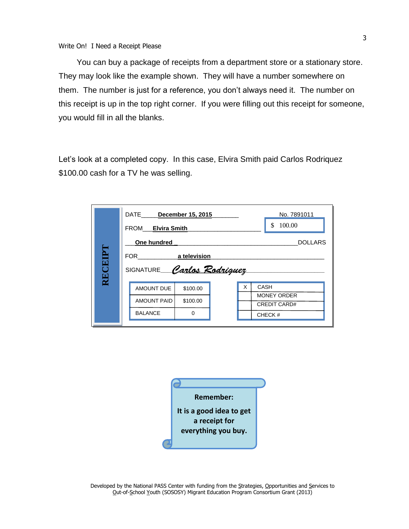You can buy a package of receipts from a department store or a stationary store. They may look like the example shown. They will have a number somewhere on them. The number is just for a reference, you don't always need it. The number on this receipt is up in the top right corner. If you were filling out this receipt for someone, you would fill in all the blanks.

Let's look at a completed copy. In this case, Elvira Smith paid Carlos Rodriquez \$100.00 cash for a TV he was selling.

|                                     | DATE December 15, 2015<br>FROM Elvira Smith    |  | No. 7891011<br>\$<br>100.00 |
|-------------------------------------|------------------------------------------------|--|-----------------------------|
|                                     | One hundred<br><b>DOLLARS</b>                  |  |                             |
| RECEIPT                             | FOR a television<br>SIGNATURE Carlos Rodriguez |  |                             |
|                                     |                                                |  |                             |
| X<br>CASH<br>AMOUNT DUE<br>\$100.00 |                                                |  |                             |
|                                     | <b>AMOUNT PAID</b><br>\$100.00                 |  | <b>MONEY ORDER</b>          |
|                                     |                                                |  | <b>CREDIT CARD#</b>         |
|                                     | <b>BALANCE</b><br>$\Omega$                     |  | CHECK#                      |
|                                     |                                                |  |                             |

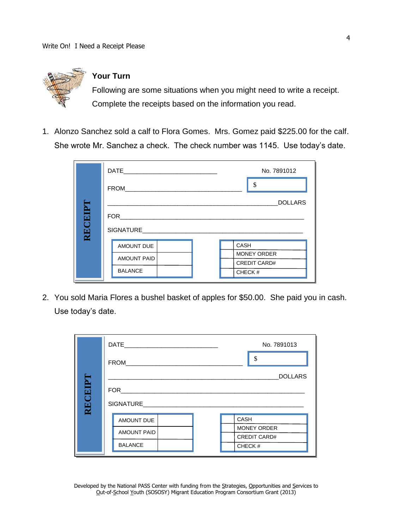

## **Your Turn**

Following are some situations when you might need to write a receipt. Complete the receipts based on the information you read.

1. Alonzo Sanchez sold a calf to Flora Gomes. Mrs. Gomez paid \$225.00 for the calf. She wrote Mr. Sanchez a check. The check number was 1145. Use today's date.

|        | DATE <b>DATE</b>                     | No. 7891012         |  |
|--------|--------------------------------------|---------------------|--|
|        | <b>FROM</b>                          | \$                  |  |
|        | <b>DOLLARS</b>                       |                     |  |
|        |                                      |                     |  |
| RECEIP | SIGNATURE                            |                     |  |
|        | AMOUNT DUE                           | <b>CASH</b>         |  |
|        | <b>AMOUNT PAID</b><br><b>BALANCE</b> | <b>MONEY ORDER</b>  |  |
|        |                                      | <b>CREDIT CARD#</b> |  |
|        |                                      | CHECK#              |  |

2. You sold Maria Flores a bushel basket of apples for \$50.00. She paid you in cash. Use today's date.

|        | DATE                                               | No. 7891013         |  |
|--------|----------------------------------------------------|---------------------|--|
|        | FROM_                                              | \$                  |  |
|        |                                                    | <b>DOLLARS</b>      |  |
|        | FOR                                                |                     |  |
| RECEPT | SIGNATURE <b>Andrew SIGNATURE</b>                  |                     |  |
|        |                                                    | <b>CASH</b>         |  |
|        | AMOUNT DUE<br><b>AMOUNT PAID</b><br><b>BALANCE</b> | <b>MONEY ORDER</b>  |  |
|        |                                                    | <b>CREDIT CARD#</b> |  |
|        |                                                    | CHECK#              |  |
|        |                                                    |                     |  |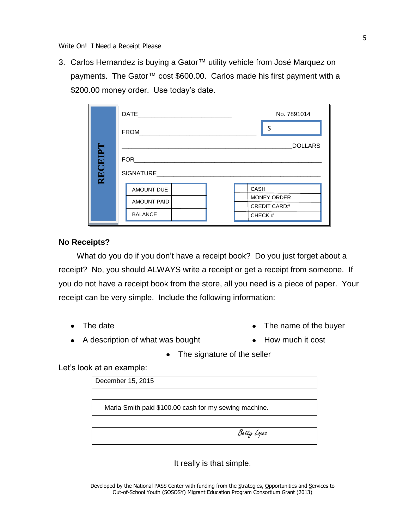Write On! I Need a Receipt Please

3. Carlos Hernandez is buying a Gator™ utility vehicle from José Marquez on payments. The Gator™ cost \$600.00. Carlos made his first payment with a \$200.00 money order. Use today's date.

|         | DATE               | No. 7891014         |  |
|---------|--------------------|---------------------|--|
|         | FROM               | \$                  |  |
|         | <b>DOLLARS</b>     |                     |  |
|         | FOR                |                     |  |
| RECEIPT | SIGNATURE          |                     |  |
|         | CASH               |                     |  |
|         | <b>AMOUNT PAID</b> | MONEY ORDER         |  |
|         |                    | <b>CREDIT CARD#</b> |  |
|         | <b>BALANCE</b>     | CHECK#              |  |

#### **No Receipts?**

What do you do if you don't have a receipt book? Do you just forget about a receipt? No, you should ALWAYS write a receipt or get a receipt from someone. If you do not have a receipt book from the store, all you need is a piece of paper. Your receipt can be very simple. Include the following information:

- 
- The date **The date** The name of the buyer
- A description of what was bought How much it cost
- - The signature of the seller

Let's look at an example:

| December 15, 2015                                     |
|-------------------------------------------------------|
|                                                       |
| Maria Smith paid \$100.00 cash for my sewing machine. |
|                                                       |
| Betty Lopez                                           |

It really is that simple.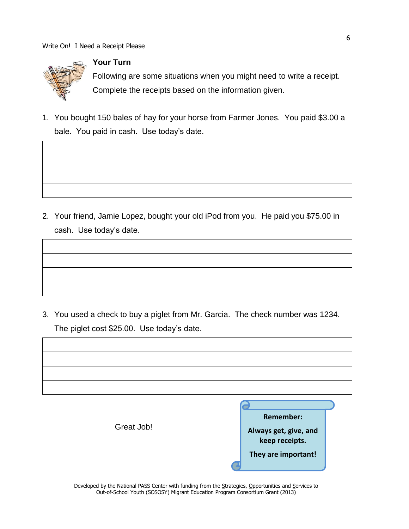

## **Your Turn**

Following are some situations when you might need to write a receipt. Complete the receipts based on the information given.

1. You bought 150 bales of hay for your horse from Farmer Jones. You paid \$3.00 a bale. You paid in cash. Use today's date.

2. Your friend, Jamie Lopez, bought your old iPod from you. He paid you \$75.00 in cash. Use today's date.

3. You used a check to buy a piglet from Mr. Garcia. The check number was 1234. The piglet cost \$25.00. Use today's date.

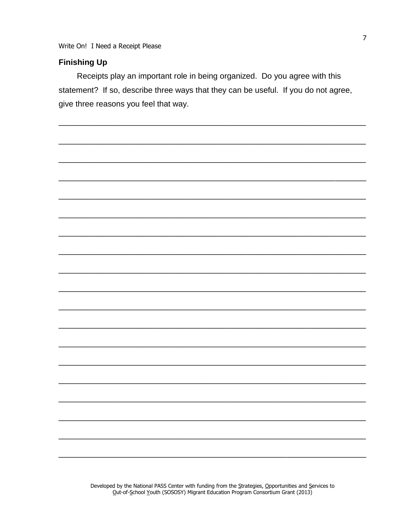Write On! I Need a Receipt Please

## **Finishing Up**

Receipts play an important role in being organized. Do you agree with this statement? If so, describe three ways that they can be useful. If you do not agree, give three reasons you feel that way.